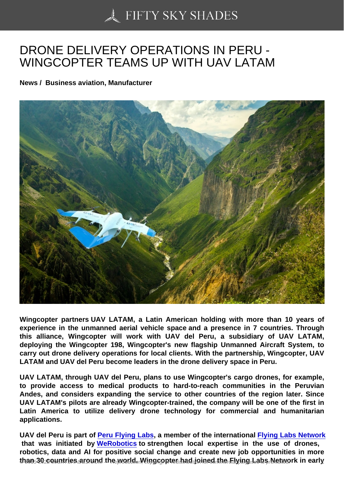## [DRONE DELIVERY OP](https://50skyshades.com)ERATIONS IN PERU - WINGCOPTER TEAMS UP WITH UAV LATAM

News / Business aviation, Manufacturer

Wingcopter partners UAV LATAM, a Latin American holding with more than 10 years of experience in the unmanned aerial vehicle space and a presence in 7 countries. Through this alliance, Wingcopter will work with UAV del Peru, a subsidiary of UAV LATAM, deploying the Wingcopter 198, Wingcopter's new flagship Unmanned Aircraft System, to carry out drone delivery operations for local clients. With the partnership, Wingcopter, UAV LATAM and UAV del Peru become leaders in the drone delivery space in Peru.

UAV LATAM, through UAV del Peru, plans to use Wingcopter's cargo drones, for example, to provide access to medical products to hard-to-reach communities in the Peruvian Andes, and considers expanding the service to other countries of the region later. Since UAV LATAM's pilots are already Wingcopter-trained, the company will be one of the first in Latin America to utilize delivery drone technology for commercial and humanitarian applications.

UAV del Peru is part of Peru Flying Labs, a member of the international Flying Labs Network that was initiated by WeRobotics to strengthen local expertise in the use of drones, robotics, data and AI for positive social change and create new job opportunities in more than 30 countries around the world. Wingcopter had joined the Flying Labs Network in early  $\frac{1}{10}$